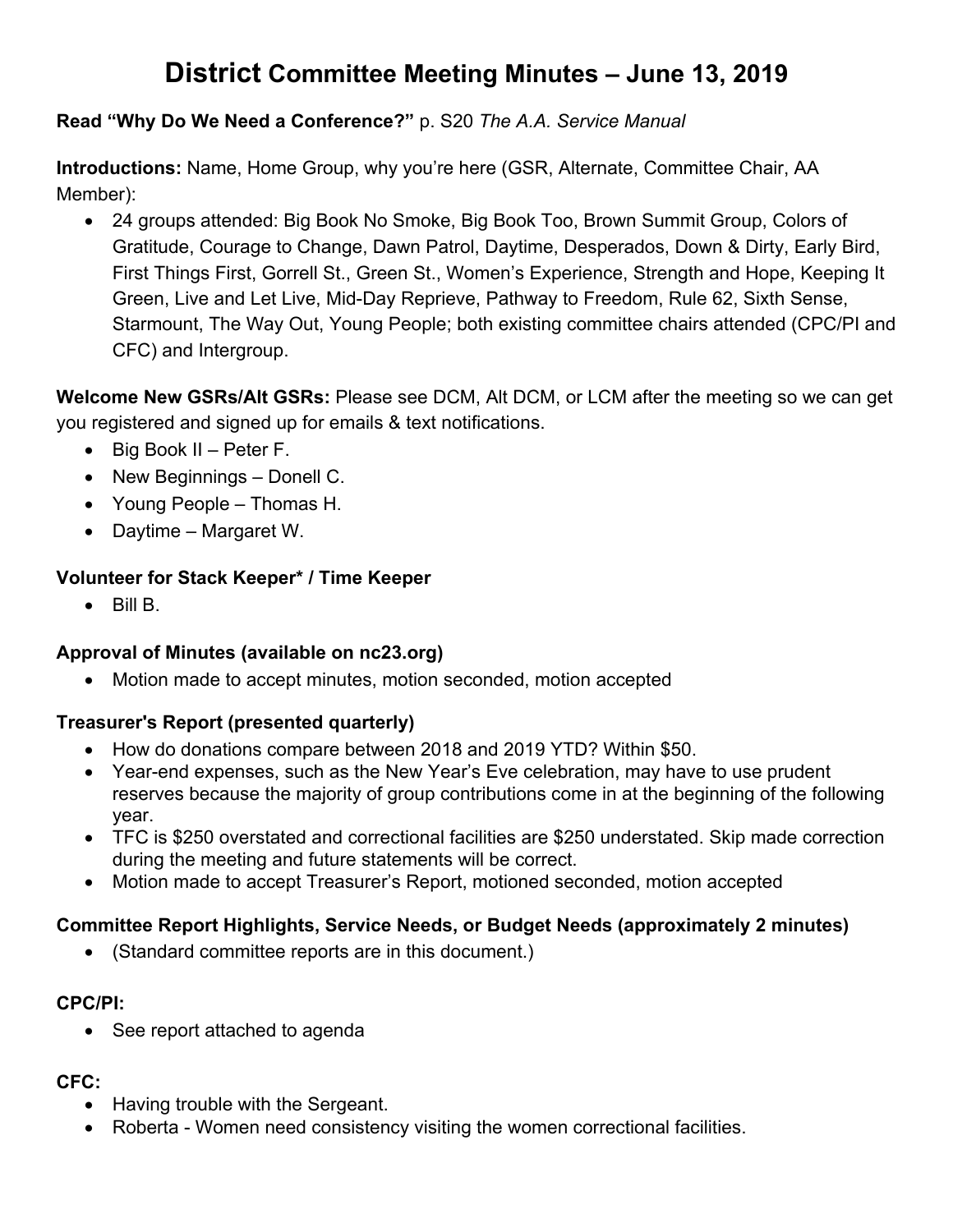# **District Committee Meeting Minutes – June 13, 2019**

#### **Read "Why Do We Need a Conference?"** p. S20 *The A.A. Service Manual*

**Introductions:** Name, Home Group, why you're here (GSR, Alternate, Committee Chair, AA Member):

• 24 groups attended: Big Book No Smoke, Big Book Too, Brown Summit Group, Colors of Gratitude, Courage to Change, Dawn Patrol, Daytime, Desperados, Down & Dirty, Early Bird, First Things First, Gorrell St., Green St., Women's Experience, Strength and Hope, Keeping It Green, Live and Let Live, Mid-Day Reprieve, Pathway to Freedom, Rule 62, Sixth Sense, Starmount, The Way Out, Young People; both existing committee chairs attended (CPC/PI and CFC) and Intergroup.

**Welcome New GSRs/Alt GSRs:** Please see DCM, Alt DCM, or LCM after the meeting so we can get you registered and signed up for emails & text notifications.

- Big Book II Peter F.
- New Beginnings Donell C.
- Young People Thomas H.
- Daytime Margaret W.

#### **Volunteer for Stack Keeper\* / Time Keeper**

 $\bullet$  Bill B.

#### **Approval of Minutes (available on nc23.org)**

• Motion made to accept minutes, motion seconded, motion accepted

#### **Treasurer's Report (presented quarterly)**

- How do donations compare between 2018 and 2019 YTD? Within \$50.
- Year-end expenses, such as the New Year's Eve celebration, may have to use prudent reserves because the majority of group contributions come in at the beginning of the following year.
- TFC is \$250 overstated and correctional facilities are \$250 understated. Skip made correction during the meeting and future statements will be correct.
- Motion made to accept Treasurer's Report, motioned seconded, motion accepted

#### **Committee Report Highlights, Service Needs, or Budget Needs (approximately 2 minutes)**

• (Standard committee reports are in this document.)

#### **CPC/PI:**

• See report attached to agenda

#### **CFC:**

- Having trouble with the Sergeant.
- Roberta Women need consistency visiting the women correctional facilities.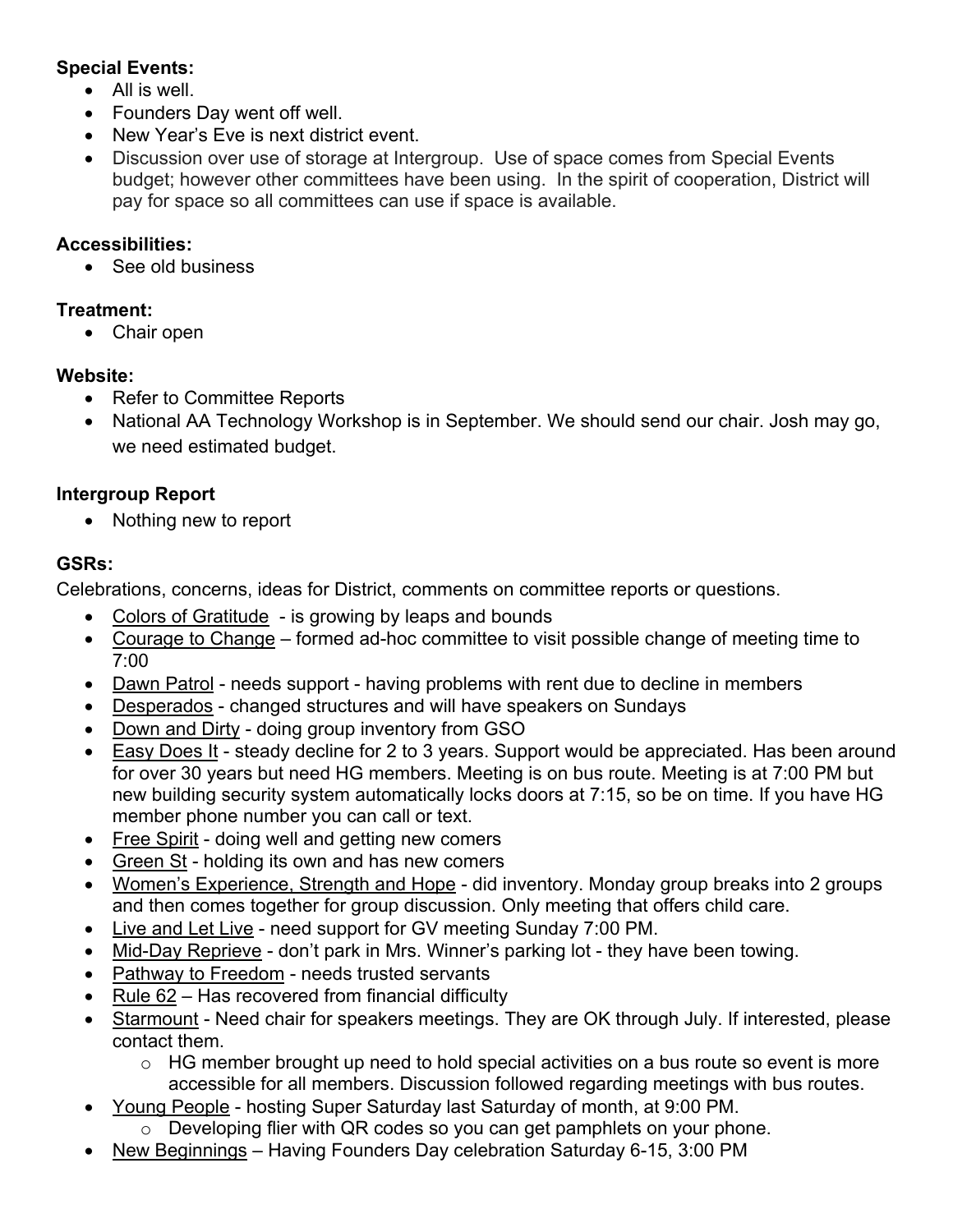# **Special Events:**

- All is well.
- Founders Day went off well.
- New Year's Eve is next district event.
- Discussion over use of storage at Intergroup. Use of space comes from Special Events budget; however other committees have been using. In the spirit of cooperation, District will pay for space so all committees can use if space is available.

### **Accessibilities:**

• See old business

### **Treatment:**

• Chair open

### **Website:**

- Refer to Committee Reports
- National AA Technology Workshop is in September. We should send our chair. Josh may go, we need estimated budget.

# **Intergroup Report**

• Nothing new to report

# **GSRs:**

Celebrations, concerns, ideas for District, comments on committee reports or questions.

- Colors of Gratitude is growing by leaps and bounds
- Courage to Change formed ad-hoc committee to visit possible change of meeting time to 7:00
- Dawn Patrol needs support having problems with rent due to decline in members
- Desperados changed structures and will have speakers on Sundays
- Down and Dirty doing group inventory from GSO
- Easy Does It steady decline for 2 to 3 years. Support would be appreciated. Has been around for over 30 years but need HG members. Meeting is on bus route. Meeting is at 7:00 PM but new building security system automatically locks doors at 7:15, so be on time. If you have HG member phone number you can call or text.
- Free Spirit doing well and getting new comers
- Green St holding its own and has new comers
- Women's Experience, Strength and Hope did inventory. Monday group breaks into 2 groups and then comes together for group discussion. Only meeting that offers child care.
- Live and Let Live need support for GV meeting Sunday 7:00 PM.
- Mid-Day Reprieve don't park in Mrs. Winner's parking lot they have been towing.
- Pathway to Freedom needs trusted servants
- Rule 62 Has recovered from financial difficulty
- Starmount Need chair for speakers meetings. They are OK through July. If interested, please contact them.
	- o HG member brought up need to hold special activities on a bus route so event is more accessible for all members. Discussion followed regarding meetings with bus routes.
- Young People hosting Super Saturday last Saturday of month, at 9:00 PM.
	- o Developing flier with QR codes so you can get pamphlets on your phone.
- New Beginnings Having Founders Day celebration Saturday 6-15, 3:00 PM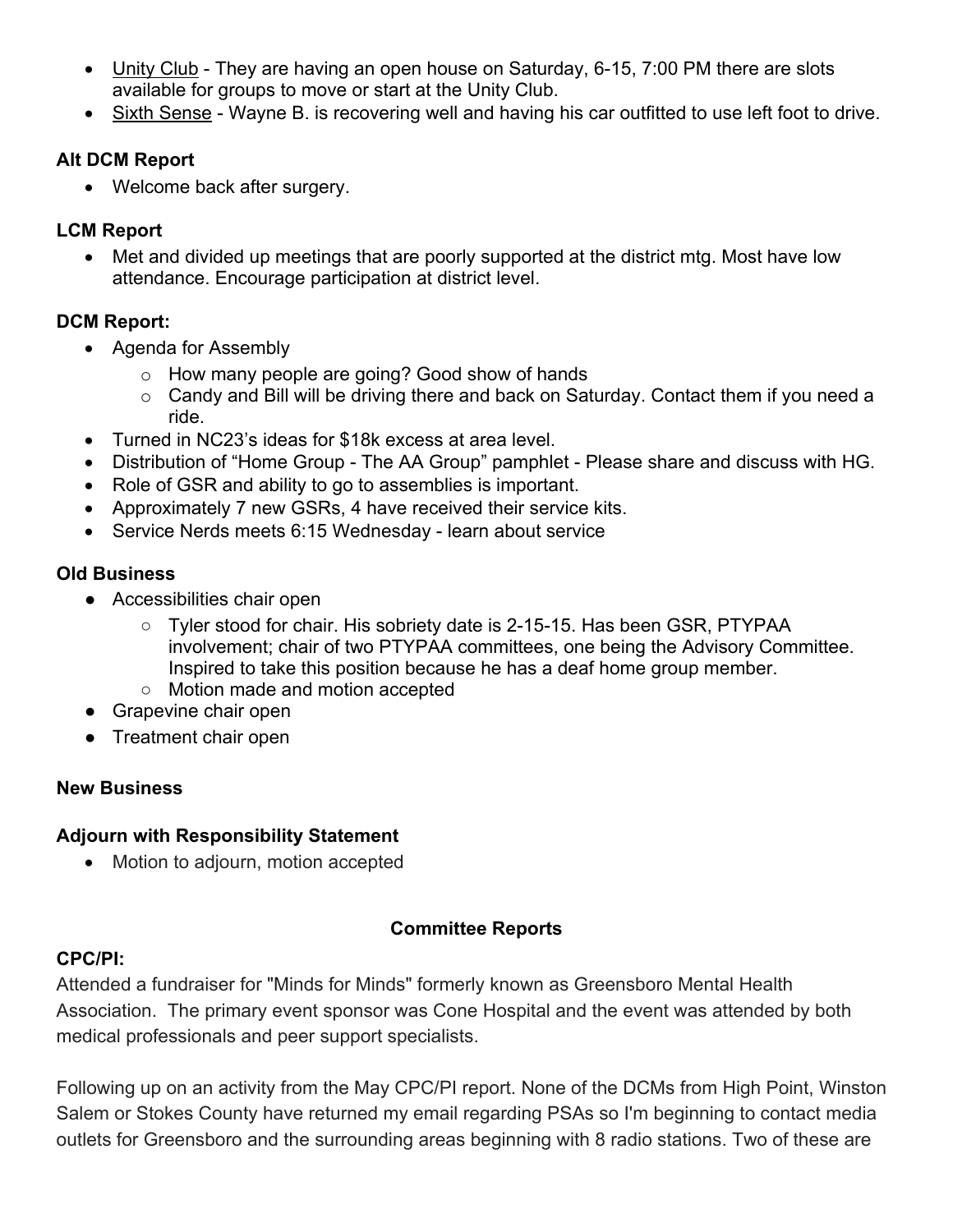- Unity Club They are having an open house on Saturday, 6-15, 7:00 PM there are slots available for groups to move or start at the Unity Club.
- Sixth Sense Wayne B. is recovering well and having his car outfitted to use left foot to drive.

### **Alt DCM Report**

• Welcome back after surgery.

# **LCM Report**

• Met and divided up meetings that are poorly supported at the district mtg. Most have low attendance. Encourage participation at district level.

# **DCM Report:**

- Agenda for Assembly
	- o How many people are going? Good show of hands
	- o Candy and Bill will be driving there and back on Saturday. Contact them if you need a ride.
- Turned in NC23's ideas for \$18k excess at area level.
- Distribution of "Home Group The AA Group" pamphlet Please share and discuss with HG.
- Role of GSR and ability to go to assemblies is important.
- Approximately 7 new GSRs, 4 have received their service kits.
- Service Nerds meets 6:15 Wednesday learn about service

### **Old Business**

- Accessibilities chair open
	- Tyler stood for chair. His sobriety date is 2-15-15. Has been GSR, PTYPAA involvement; chair of two PTYPAA committees, one being the Advisory Committee. Inspired to take this position because he has a deaf home group member.
	- Motion made and motion accepted
- Grapevine chair open
- Treatment chair open

# **New Business**

#### **Adjourn with Responsibility Statement**

• Motion to adjourn, motion accepted

# **Committee Reports**

# **CPC/PI:**

Attended a fundraiser for "Minds for Minds" formerly known as Greensboro Mental Health Association. The primary event sponsor was Cone Hospital and the event was attended by both medical professionals and peer support specialists.

Following up on an activity from the May CPC/PI report. None of the DCMs from High Point, Winston Salem or Stokes County have returned my email regarding PSAs so I'm beginning to contact media outlets for Greensboro and the surrounding areas beginning with 8 radio stations. Two of these are